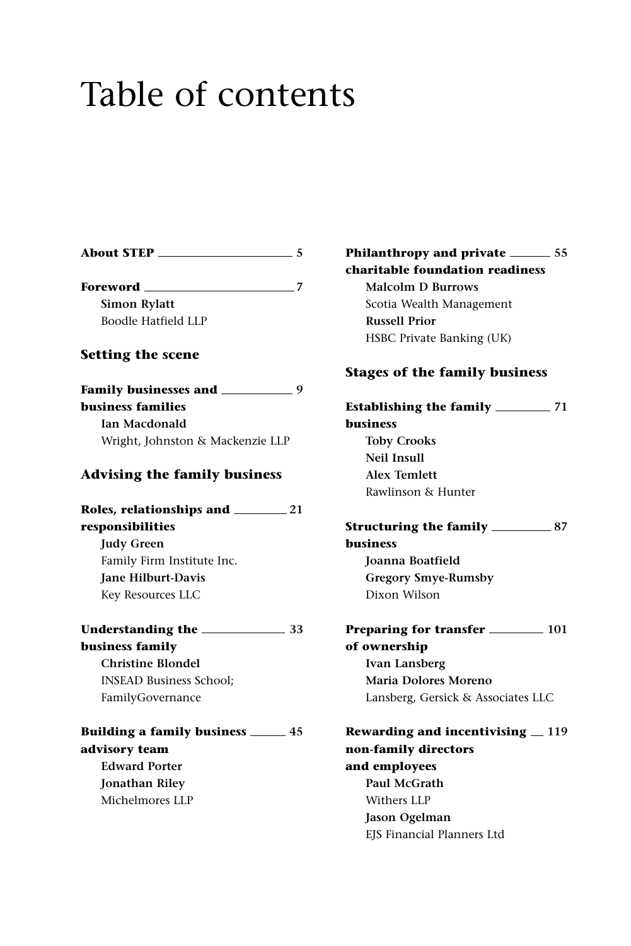## Table of contents

| <b>About STEP</b><br>$\sim$ 5              |  |
|--------------------------------------------|--|
| Foreword ______                            |  |
| <b>Simon Rylatt</b>                        |  |
| <b>Boodle Hatfield LLP</b>                 |  |
| <b>Setting the scene</b>                   |  |
| Family businesses and ___________________9 |  |
| <b>business families</b>                   |  |
| <b>Ian Macdonald</b>                       |  |
| Wright, Johnston & Mackenzie LLP           |  |
| <b>Advising the family business</b>        |  |
| Roles, relationships and 21                |  |
| responsibilities                           |  |
| <b>Judy Green</b>                          |  |
| Family Firm Institute Inc.                 |  |
| <b>Iane Hilburt-Davis</b>                  |  |
| Key Resources LLC                          |  |
|                                            |  |
| business family                            |  |
| <b>Christine Blondel</b>                   |  |
| <b>INSEAD Business School;</b>             |  |
| FamilyGovernance                           |  |
| Building a family business ______ 45       |  |
|                                            |  |
| advisory team                              |  |
| <b>Edward Porter</b>                       |  |
| Jonathan Riley                             |  |

**Philanthropy and private 55 charitable foundation readiness Malcolm D Burrows** Scotia Wealth Management **Russell Prior** HSBC Private Banking (UK) **Stages of the family business Establishing the family 71 business Toby Crooks Neil Insull Alex Temlett** Rawlinson & Hunter **Structuring the family 87 business Joanna Boatfield Gregory Smye-Rumsby** Dixon Wilson **Preparing for transfer 101 of ownership Ivan Lansberg Maria Dolores Moreno** Lansberg, Gersick & Associates LLC **Rewarding and incentivising**  $=$  **119 non-family directors and employees Paul McGrath** Withers LLP **Jason Ogelman** EJS Financial Planners Ltd